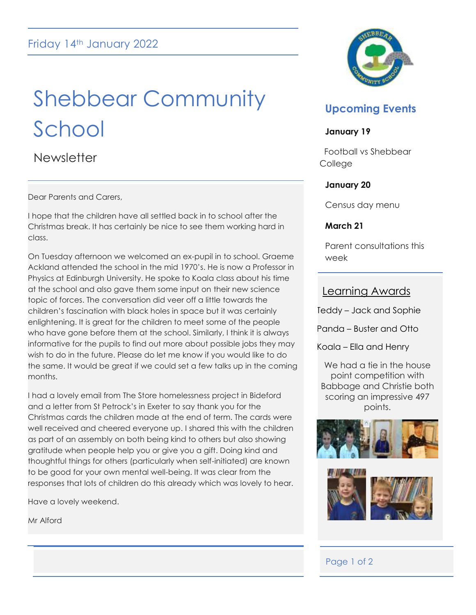# Shebbear Community School

**Newsletter** 

Dear Parents and Carers,

I hope that the children have all settled back in to school after the Christmas break. It has certainly be nice to see them working hard in class.

On Tuesday afternoon we welcomed an ex-pupil in to school. Graeme Ackland attended the school in the mid 1970's. He is now a Professor in Physics at Edinburgh University. He spoke to Koala class about his time at the school and also gave them some input on their new science topic of forces. The conversation did veer off a little towards the children's fascination with black holes in space but it was certainly enlightening. It is great for the children to meet some of the people who have gone before them at the school. Similarly, I think it is always informative for the pupils to find out more about possible jobs they may wish to do in the future. Please do let me know if you would like to do the same. It would be great if we could set a few talks up in the coming months.

I had a lovely email from The Store homelessness project in Bideford and a letter from St Petrock's in Exeter to say thank you for the Christmas cards the children made at the end of term. The cards were well received and cheered everyone up. I shared this with the children as part of an assembly on both being kind to others but also showing gratitude when people help you or give you a gift. Doing kind and thoughtful things for others (particularly when self-initiated) are known to be good for your own mental well-being. It was clear from the responses that lots of children do this already which was lovely to hear.

Have a lovely weekend.

Mr Alford



# **Upcoming Events**

### **January 19**

 Football vs Shebbear **College** 

# **January 20**

Census day menu

### **March 21**

Parent consultations this week

# Learning Awards

Teddy – Jack and Sophie

Panda – Buster and Otto

Koala – Ella and Henry

We had a tie in the house point competition with Babbage and Christie both scoring an impressive 497 points.





i

# Page 1 of 2